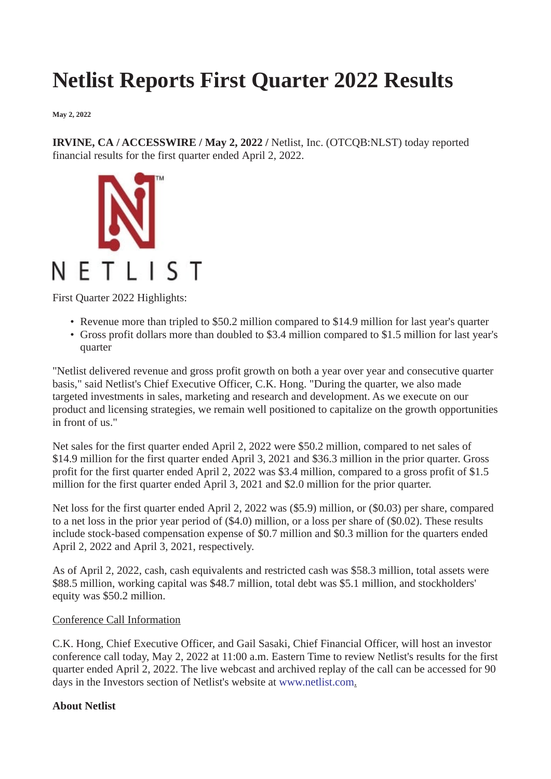# **Netlist Reports First Quarter 2022 Results**

**May 2, 2022**

**IRVINE, CA / ACCESSWIRE / May 2, 2022 /** Netlist, Inc. (OTCQB:NLST) today reported financial results for the first quarter ended April 2, 2022.



First Quarter 2022 Highlights:

- Revenue more than tripled to \$50.2 million compared to \$14.9 million for last year's quarter
- Gross profit dollars more than doubled to \$3.4 million compared to \$1.5 million for last year's quarter

"Netlist delivered revenue and gross profit growth on both a year over year and consecutive quarter basis," said Netlist's Chief Executive Officer, C.K. Hong. "During the quarter, we also made targeted investments in sales, marketing and research and development. As we execute on our product and licensing strategies, we remain well positioned to capitalize on the growth opportunities in front of us."

Net sales for the first quarter ended April 2, 2022 were \$50.2 million, compared to net sales of \$14.9 million for the first quarter ended April 3, 2021 and \$36.3 million in the prior quarter. Gross profit for the first quarter ended April 2, 2022 was \$3.4 million, compared to a gross profit of \$1.5 million for the first quarter ended April 3, 2021 and \$2.0 million for the prior quarter.

Net loss for the first quarter ended April 2, 2022 was (\$5.9) million, or (\$0.03) per share, compared to a net loss in the prior year period of (\$4.0) million, or a loss per share of (\$0.02). These results include stock-based compensation expense of \$0.7 million and \$0.3 million for the quarters ended April 2, 2022 and April 3, 2021, respectively.

As of April 2, 2022, cash, cash equivalents and restricted cash was \$58.3 million, total assets were \$88.5 million, working capital was \$48.7 million, total debt was \$5.1 million, and stockholders' equity was \$50.2 million.

## Conference Call Information

C.K. Hong, Chief Executive Officer, and Gail Sasaki, Chief Financial Officer, will host an investor conference call today, May 2, 2022 at 11:00 a.m. Eastern Time to review Netlist's results for the first quarter ended April 2, 2022. The live webcast and archived replay of the call can be accessed for 90 days in the Investors section of Netlist's website at [www.netlist.com.](https://pr.report/UVy3YINq)

## **About Netlist**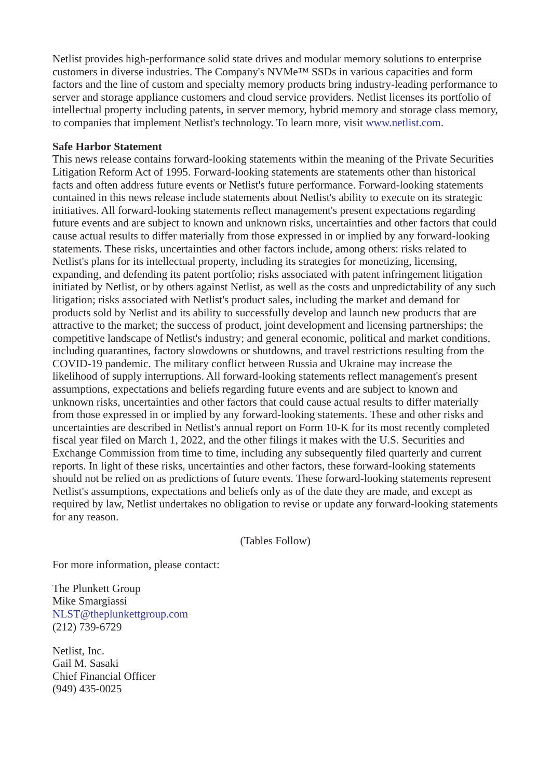Netlist provides high-performance solid state drives and modular memory solutions to enterprise customers in diverse industries. The Company's NVMe™ SSDs in various capacities and form factors and the line of custom and specialty memory products bring industry-leading performance to server and storage appliance customers and cloud service providers. Netlist licenses its portfolio of intellectual property including patents, in server memory, hybrid memory and storage class memory, to companies that implement Netlist's technology. To learn more, visit [www.netlist.com](https://pr.report/zxR0Hw7Q).

#### **Safe Harbor Statement**

This news release contains forward-looking statements within the meaning of the Private Securities Litigation Reform Act of 1995. Forward-looking statements are statements other than historical facts and often address future events or Netlist's future performance. Forward-looking statements contained in this news release include statements about Netlist's ability to execute on its strategic initiatives. All forward-looking statements reflect management's present expectations regarding future events and are subject to known and unknown risks, uncertainties and other factors that could cause actual results to differ materially from those expressed in or implied by any forward-looking statements. These risks, uncertainties and other factors include, among others: risks related to Netlist's plans for its intellectual property, including its strategies for monetizing, licensing, expanding, and defending its patent portfolio; risks associated with patent infringement litigation initiated by Netlist, or by others against Netlist, as well as the costs and unpredictability of any such litigation; risks associated with Netlist's product sales, including the market and demand for products sold by Netlist and its ability to successfully develop and launch new products that are attractive to the market; the success of product, joint development and licensing partnerships; the competitive landscape of Netlist's industry; and general economic, political and market conditions, including quarantines, factory slowdowns or shutdowns, and travel restrictions resulting from the COVID-19 pandemic. The military conflict between Russia and Ukraine may increase the likelihood of supply interruptions. All forward-looking statements reflect management's present assumptions, expectations and beliefs regarding future events and are subject to known and unknown risks, uncertainties and other factors that could cause actual results to differ materially from those expressed in or implied by any forward-looking statements. These and other risks and uncertainties are described in Netlist's annual report on Form 10-K for its most recently completed fiscal year filed on March 1, 2022, and the other filings it makes with the U.S. Securities and Exchange Commission from time to time, including any subsequently filed quarterly and current reports. In light of these risks, uncertainties and other factors, these forward-looking statements should not be relied on as predictions of future events. These forward-looking statements represent Netlist's assumptions, expectations and beliefs only as of the date they are made, and except as required by law, Netlist undertakes no obligation to revise or update any forward-looking statements for any reason.

(Tables Follow)

For more information, please contact:

The Plunkett Group Mike Smargiassi [NLST@theplunkettgroup.com](mailto:NLST@theplunkettgroup.com) (212) 739-6729

Netlist, Inc. Gail M. Sasaki Chief Financial Officer (949) 435-0025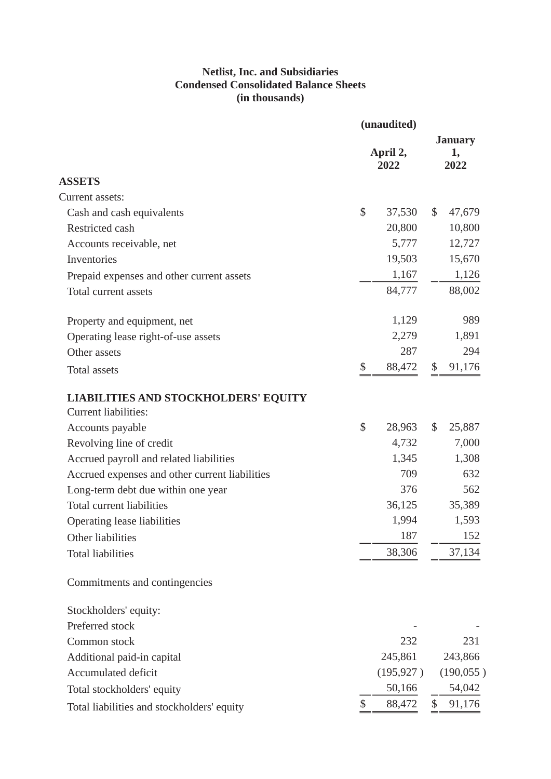# **Netlist, Inc. and Subsidiaries Condensed Consolidated Balance Sheets (in thousands)**

|                                                                            |    | (unaudited)      |              |                              |  |
|----------------------------------------------------------------------------|----|------------------|--------------|------------------------------|--|
|                                                                            |    | April 2,<br>2022 |              | <b>January</b><br>1,<br>2022 |  |
| <b>ASSETS</b>                                                              |    |                  |              |                              |  |
| Current assets:                                                            |    |                  |              |                              |  |
| Cash and cash equivalents                                                  | \$ | 37,530           | \$           | 47,679                       |  |
| Restricted cash                                                            |    | 20,800           |              | 10,800                       |  |
| Accounts receivable, net                                                   |    | 5,777            |              | 12,727                       |  |
| Inventories                                                                |    | 19,503           |              | 15,670                       |  |
| Prepaid expenses and other current assets                                  |    | 1,167            |              | 1,126                        |  |
| Total current assets                                                       |    | 84,777           |              | 88,002                       |  |
| Property and equipment, net                                                |    | 1,129            |              | 989                          |  |
| Operating lease right-of-use assets                                        |    | 2,279            |              | 1,891                        |  |
| Other assets                                                               |    | 287              |              | 294                          |  |
| <b>Total assets</b>                                                        | \$ | 88,472           | $\mathbb{S}$ | 91,176                       |  |
| <b>LIABILITIES AND STOCKHOLDERS' EQUITY</b><br><b>Current liabilities:</b> |    |                  |              |                              |  |
| Accounts payable                                                           | \$ | 28,963           | \$           | 25,887                       |  |
| Revolving line of credit                                                   |    | 4,732            |              | 7,000                        |  |
| Accrued payroll and related liabilities                                    |    | 1,345            |              | 1,308                        |  |
| Accrued expenses and other current liabilities                             |    | 709              |              | 632                          |  |
| Long-term debt due within one year                                         |    | 376              |              | 562                          |  |
| <b>Total current liabilities</b>                                           |    | 36,125           |              | 35,389                       |  |
| Operating lease liabilities                                                |    | 1,994            |              | 1,593                        |  |
| Other liabilities                                                          |    | 187              |              | 152                          |  |
| <b>Total liabilities</b>                                                   |    | 38,306           |              | 37,134                       |  |
| Commitments and contingencies                                              |    |                  |              |                              |  |
| Stockholders' equity:                                                      |    |                  |              |                              |  |
| Preferred stock                                                            |    |                  |              |                              |  |
| Common stock                                                               |    | 232              |              | 231                          |  |
| Additional paid-in capital                                                 |    | 245,861          |              | 243,866                      |  |
| Accumulated deficit                                                        |    | (195, 927)       |              | (190, 055)                   |  |
| Total stockholders' equity                                                 |    | 50,166           |              | 54,042                       |  |
| Total liabilities and stockholders' equity                                 | \$ | 88,472           | \$           | 91,176                       |  |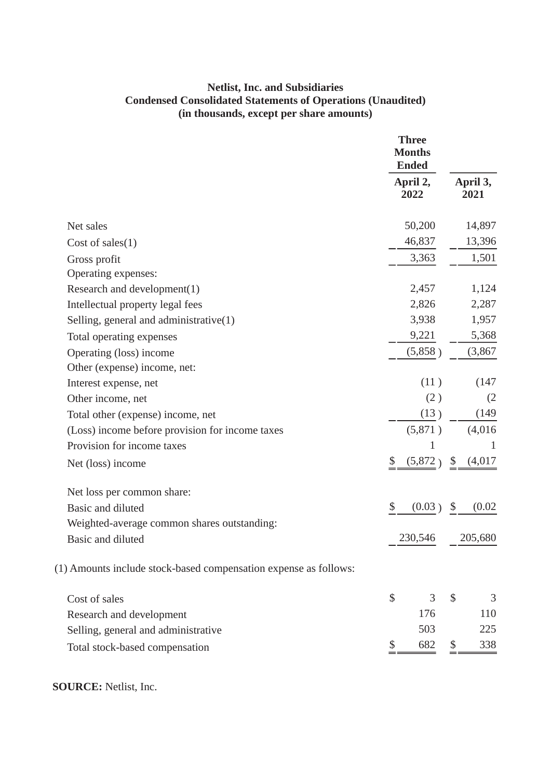## **Netlist, Inc. and Subsidiaries Condensed Consolidated Statements of Operations (Unaudited) (in thousands, except per share amounts)**

|                                                                  | <b>Three</b><br><b>Months</b><br><b>Ended</b> |    |                  |  |
|------------------------------------------------------------------|-----------------------------------------------|----|------------------|--|
|                                                                  | April 2,<br>2022                              |    | April 3,<br>2021 |  |
| Net sales                                                        | 50,200                                        |    | 14,897           |  |
| Cost of sales $(1)$                                              | 46,837                                        |    | 13,396           |  |
| Gross profit                                                     | 3,363                                         |    | 1,501            |  |
| Operating expenses:                                              |                                               |    |                  |  |
| Research and development(1)                                      | 2,457                                         |    | 1,124            |  |
| Intellectual property legal fees                                 | 2,826                                         |    | 2,287            |  |
| Selling, general and administrative(1)                           | 3,938                                         |    | 1,957            |  |
| Total operating expenses                                         | 9,221                                         |    | 5,368            |  |
| Operating (loss) income                                          | (5,858)                                       |    | (3, 867)         |  |
| Other (expense) income, net:                                     |                                               |    |                  |  |
| Interest expense, net                                            | (11)                                          |    | (147)            |  |
| Other income, net                                                | (2)                                           |    | (2)              |  |
| Total other (expense) income, net                                | (13)                                          |    | (149)            |  |
| (Loss) income before provision for income taxes                  | (5,871)                                       |    | (4,016)          |  |
| Provision for income taxes                                       | 1                                             |    | $\mathbf{1}$     |  |
| Net (loss) income                                                | \$<br>(5,872)                                 | \$ | (4,017)          |  |
| Net loss per common share:                                       |                                               |    |                  |  |
| Basic and diluted                                                | \$<br>(0.03)                                  | \$ | (0.02)           |  |
| Weighted-average common shares outstanding:                      |                                               |    |                  |  |
| Basic and diluted                                                | 230,546                                       |    | 205,680          |  |
| (1) Amounts include stock-based compensation expense as follows: |                                               |    |                  |  |
| Cost of sales                                                    | \$<br>3                                       | \$ | 3                |  |
| Research and development                                         | 176                                           |    | 110              |  |
| Selling, general and administrative                              | 503                                           |    | 225              |  |
| Total stock-based compensation                                   | \$<br>682                                     | \$ | 338              |  |
|                                                                  |                                               |    |                  |  |

**SOURCE:** Netlist, Inc.